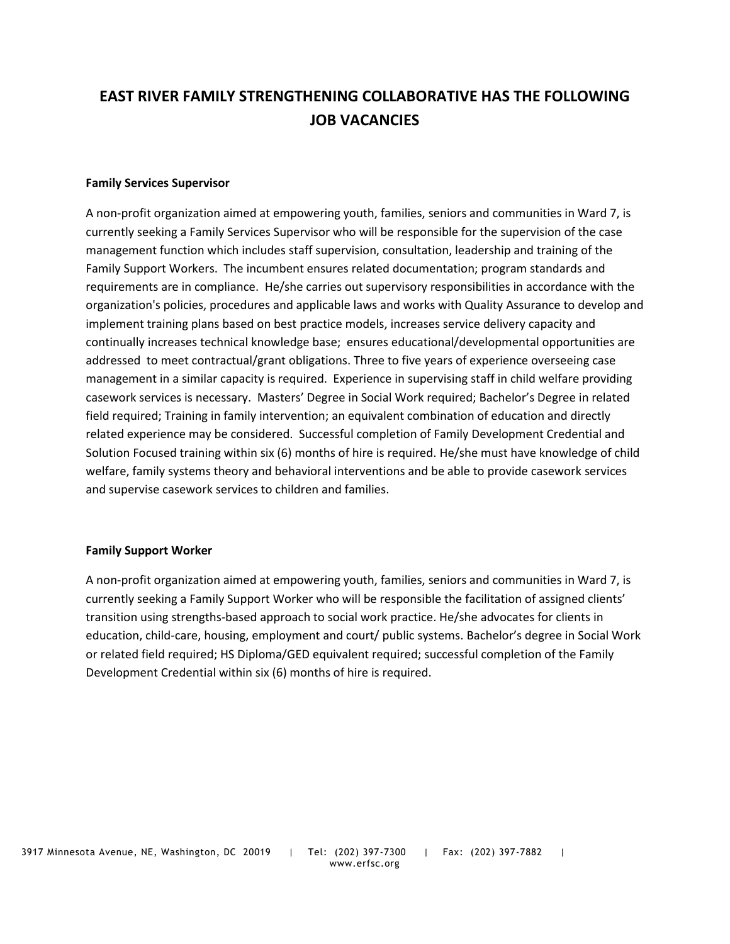# **EAST RIVER FAMILY STRENGTHENING COLLABORATIVE HAS THE FOLLOWING JOB VACANCIES**

#### **Family Services Supervisor**

A non-profit organization aimed at empowering youth, families, seniors and communities in Ward 7, is currently seeking a Family Services Supervisor who will be responsible for the supervision of the case management function which includes staff supervision, consultation, leadership and training of the Family Support Workers. The incumbent ensures related documentation; program standards and requirements are in compliance. He/she carries out supervisory responsibilities in accordance with the organization's policies, procedures and applicable laws and works with Quality Assurance to develop and implement training plans based on best practice models, increases service delivery capacity and continually increases technical knowledge base; ensures educational/developmental opportunities are addressed to meet contractual/grant obligations. Three to five years of experience overseeing case management in a similar capacity is required. Experience in supervising staff in child welfare providing casework services is necessary. Masters' Degree in Social Work required; Bachelor's Degree in related field required; Training in family intervention; an equivalent combination of education and directly related experience may be considered. Successful completion of Family Development Credential and Solution Focused training within six (6) months of hire is required. He/she must have knowledge of child welfare, family systems theory and behavioral interventions and be able to provide casework services and supervise casework services to children and families.

#### **Family Support Worker**

A non-profit organization aimed at empowering youth, families, seniors and communities in Ward 7, is currently seeking a Family Support Worker who will be responsible the facilitation of assigned clients' transition using strengths-based approach to social work practice. He/she advocates for clients in education, child-care, housing, employment and court/ public systems. Bachelor's degree in Social Work or related field required; HS Diploma/GED equivalent required; successful completion of the Family Development Credential within six (6) months of hire is required.